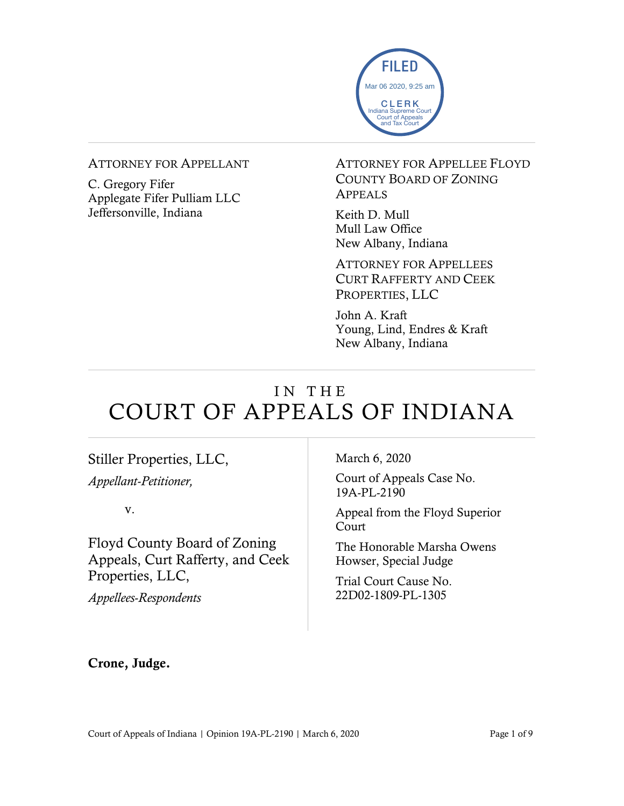

#### ATTORNEY FOR APPELLANT

C. Gregory Fifer Applegate Fifer Pulliam LLC Jeffersonville, Indiana

ATTORNEY FOR APPELLEE FLOYD COUNTY BOARD OF ZONING APPEALS

Keith D. Mull Mull Law Office New Albany, Indiana

ATTORNEY FOR APPELLEES CURT RAFFERTY AND CEEK PROPERTIES, LLC

John A. Kraft Young, Lind, Endres & Kraft New Albany, Indiana

# IN THE COURT OF APPEALS OF INDIANA

### Stiller Properties, LLC,

*Appellant-Petitioner,*

v.

Floyd County Board of Zoning Appeals, Curt Rafferty, and Ceek Properties, LLC,

*Appellees-Respondents*

March 6, 2020

Court of Appeals Case No. 19A-PL-2190

Appeal from the Floyd Superior Court

The Honorable Marsha Owens Howser, Special Judge

Trial Court Cause No. 22D02-1809-PL-1305

Crone, Judge.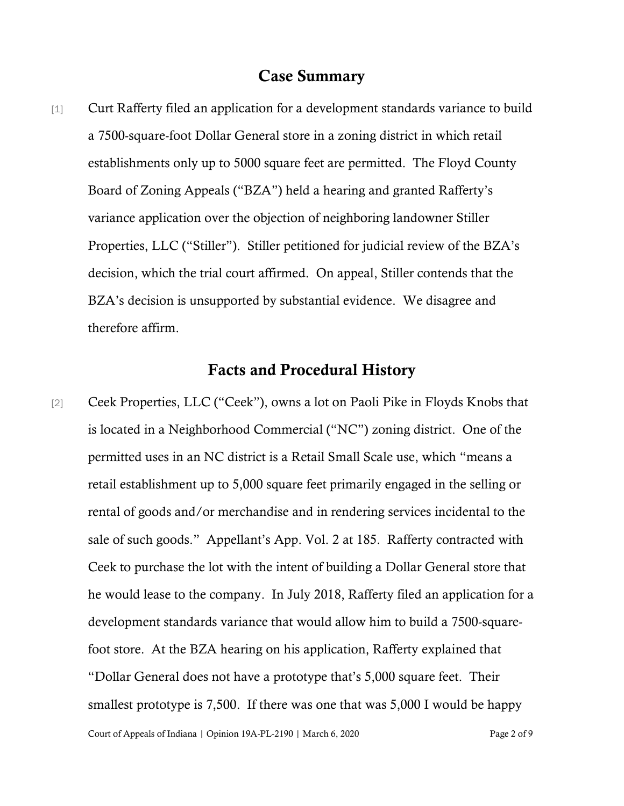#### Case Summary

[1] Curt Rafferty filed an application for a development standards variance to build a 7500-square-foot Dollar General store in a zoning district in which retail establishments only up to 5000 square feet are permitted. The Floyd County Board of Zoning Appeals ("BZA") held a hearing and granted Rafferty's variance application over the objection of neighboring landowner Stiller Properties, LLC ("Stiller"). Stiller petitioned for judicial review of the BZA's decision, which the trial court affirmed. On appeal, Stiller contends that the BZA's decision is unsupported by substantial evidence. We disagree and therefore affirm.

### Facts and Procedural History

[2] Ceek Properties, LLC ("Ceek"), owns a lot on Paoli Pike in Floyds Knobs that is located in a Neighborhood Commercial ("NC") zoning district. One of the permitted uses in an NC district is a Retail Small Scale use, which "means a retail establishment up to 5,000 square feet primarily engaged in the selling or rental of goods and/or merchandise and in rendering services incidental to the sale of such goods." Appellant's App. Vol. 2 at 185. Rafferty contracted with Ceek to purchase the lot with the intent of building a Dollar General store that he would lease to the company. In July 2018, Rafferty filed an application for a development standards variance that would allow him to build a 7500-squarefoot store. At the BZA hearing on his application, Rafferty explained that "Dollar General does not have a prototype that's 5,000 square feet. Their smallest prototype is 7,500. If there was one that was 5,000 I would be happy

Court of Appeals of Indiana | Opinion 19A-PL-2190 | March 6, 2020 Page 2 of 9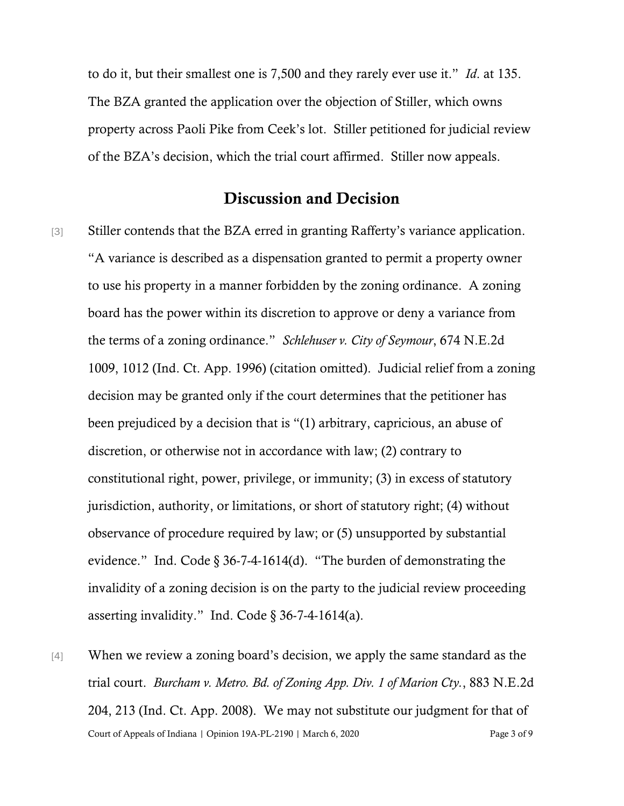to do it, but their smallest one is 7,500 and they rarely ever use it." *Id*. at 135. The BZA granted the application over the objection of Stiller, which owns property across Paoli Pike from Ceek's lot. Stiller petitioned for judicial review of the BZA's decision, which the trial court affirmed. Stiller now appeals.

## Discussion and Decision

[3] Stiller contends that the BZA erred in granting Rafferty's variance application. "A variance is described as a dispensation granted to permit a property owner to use his property in a manner forbidden by the zoning ordinance. A zoning board has the power within its discretion to approve or deny a variance from the terms of a zoning ordinance." *Schlehuser v. City of Seymour*, 674 N.E.2d 1009, 1012 (Ind. Ct. App. 1996) (citation omitted). Judicial relief from a zoning decision may be granted only if the court determines that the petitioner has been prejudiced by a decision that is "(1) arbitrary, capricious, an abuse of discretion, or otherwise not in accordance with law; (2) contrary to constitutional right, power, privilege, or immunity; (3) in excess of statutory jurisdiction, authority, or limitations, or short of statutory right; (4) without observance of procedure required by law; or (5) unsupported by substantial evidence." Ind. Code  $\S 36-7-4-1614(d)$ . "The burden of demonstrating the invalidity of a zoning decision is on the party to the judicial review proceeding asserting invalidity." Ind. Code § 36-7-4-1614(a).

Court of Appeals of Indiana | Opinion 19A-PL-2190 | March 6, 2020 Page 3 of 9 [4] When we review a zoning board's decision, we apply the same standard as the trial court. *Burcham v. Metro. Bd. of Zoning App. Div. 1 of Marion Cty.*, 883 N.E.2d 204, 213 (Ind. Ct. App. 2008). We may not substitute our judgment for that of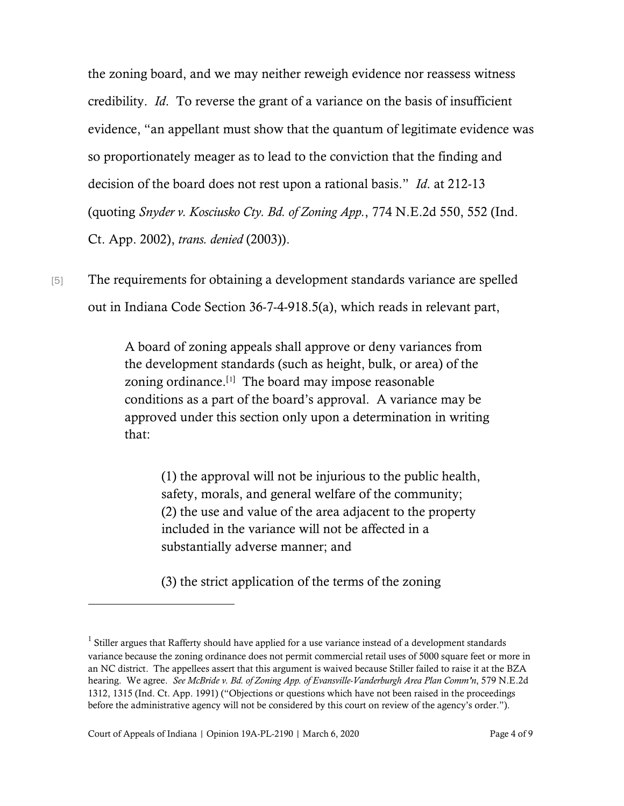the zoning board, and we may neither reweigh evidence nor reassess witness credibility. *Id*. To reverse the grant of a variance on the basis of insufficient evidence, "an appellant must show that the quantum of legitimate evidence was so proportionately meager as to lead to the conviction that the finding and decision of the board does not rest upon a rational basis." *Id*. at 212-13 (quoting *Snyder v. Kosciusko Cty. Bd. of Zoning App.*, 774 N.E.2d 550, 552 (Ind. Ct. App. 2002), *trans. denied* (2003)).

[5] The requirements for obtaining a development standards variance are spelled out in Indiana Code Section 36-7-4-918.5(a), which reads in relevant part,

> A board of zoning appeals shall approve or deny variances from the development standards (such as height, bulk, or area) of the zoning ordinance. $[1]$  $[1]$  The board may impose reasonable conditions as a part of the board's approval. A variance may be approved under this section only upon a determination in writing that:

(1) the approval will not be injurious to the public health, safety, morals, and general welfare of the community; (2) the use and value of the area adjacent to the property included in the variance will not be affected in a substantially adverse manner; and

(3) the strict application of the terms of the zoning

<span id="page-3-0"></span><sup>&</sup>lt;sup>1</sup> Stiller argues that Rafferty should have applied for a use variance instead of a development standards variance because the zoning ordinance does not permit commercial retail uses of 5000 square feet or more in an NC district. The appellees assert that this argument is waived because Stiller failed to raise it at the BZA hearing. We agree. *See McBride v. Bd. of Zoning App. of Evansville-Vanderburgh Area Plan Comm'n*, 579 N.E.2d 1312, 1315 (Ind. Ct. App. 1991) ("Objections or questions which have not been raised in the proceedings before the administrative agency will not be considered by this court on review of the agency's order.").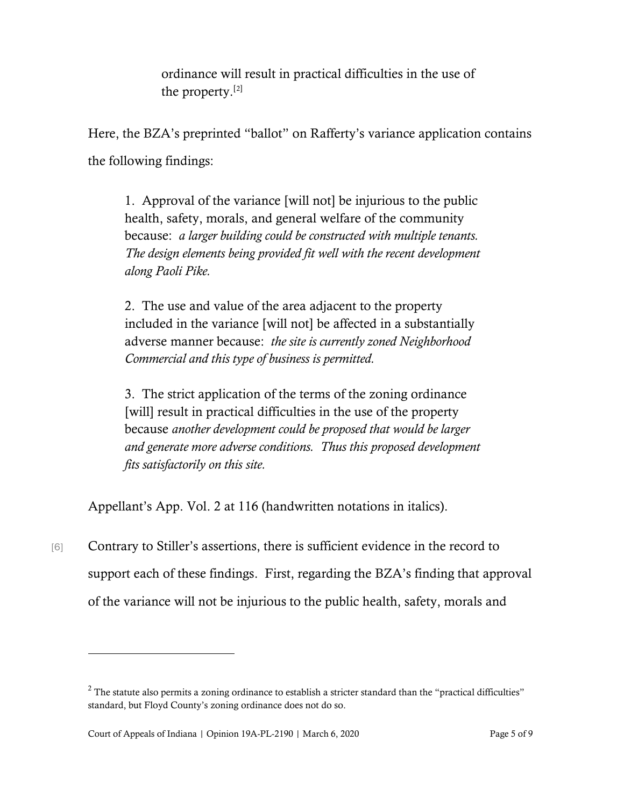ordinance will result in practical difficulties in the use of the property.[[2\]](#page-4-0)

Here, the BZA's preprinted "ballot" on Rafferty's variance application contains the following findings:

1. Approval of the variance [will not] be injurious to the public health, safety, morals, and general welfare of the community because: *a larger building could be constructed with multiple tenants. The design elements being provided fit well with the recent development along Paoli Pike.*

2. The use and value of the area adjacent to the property included in the variance [will not] be affected in a substantially adverse manner because: *the site is currently zoned Neighborhood Commercial and this type of business is permitted.*

3. The strict application of the terms of the zoning ordinance [will] result in practical difficulties in the use of the property because *another development could be proposed that would be larger and generate more adverse conditions. Thus this proposed development fits satisfactorily on this site.*

Appellant's App. Vol. 2 at 116 (handwritten notations in italics).

[6] Contrary to Stiller's assertions, there is sufficient evidence in the record to support each of these findings. First, regarding the BZA's finding that approval of the variance will not be injurious to the public health, safety, morals and

<span id="page-4-0"></span> $2$  The statute also permits a zoning ordinance to establish a stricter standard than the "practical difficulties" standard, but Floyd County's zoning ordinance does not do so.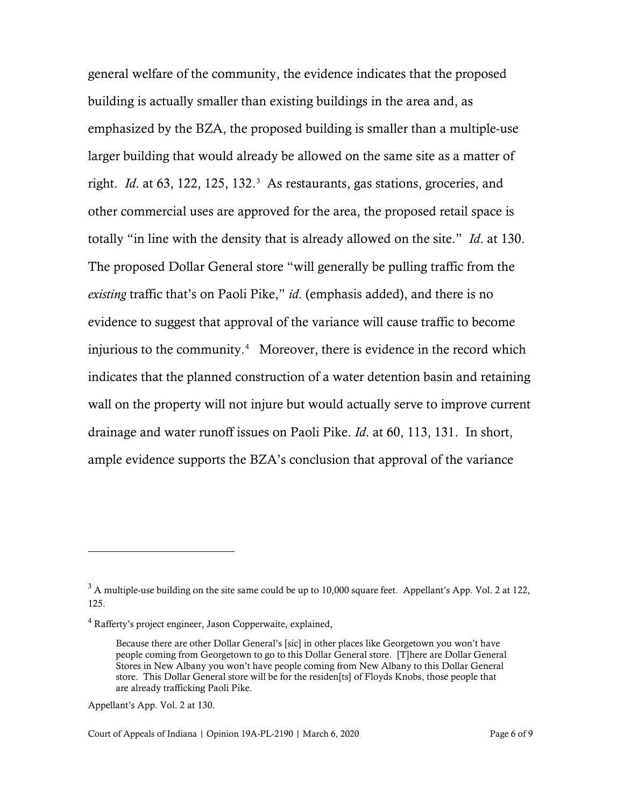general welfare of the community, the evidence indicates that the proposed building is actually smaller than existing buildings in the area and, as emphasized by the BZA, the proposed building is smaller than a multiple-use larger building that would already be allowed on the same site as a matter of right. *Id.* at 6[3](#page-5-0), 122, 125, 132.<sup>3</sup> As restaurants, gas stations, groceries, and other commercial uses are approved for the area, the proposed retail space is totally "in line with the density that is already allowed on the site." *Id*. at 130. The proposed Dollar General store "will generally be pulling traffic from the *existing* traffic that's on Paoli Pike," *id*. (emphasis added), and there is no evidence to suggest that approval of the variance will cause traffic to become injurious to the community. $4$  Moreover, there is evidence in the record which indicates that the planned construction of a water detention basin and retaining wall on the property will not injure but would actually serve to improve current drainage and water runoff issues on Paoli Pike. *Id*. at 60, 113, 131. In short, ample evidence supports the BZA's conclusion that approval of the variance

Appellant's App. Vol. 2 at 130.

<span id="page-5-0"></span> $3$  A multiple-use building on the site same could be up to 10,000 square feet. Appellant's App. Vol. 2 at 122, 125.

<span id="page-5-1"></span><sup>4</sup> Rafferty's project engineer, Jason Copperwaite, explained,

Because there are other Dollar General's [sic] in other places like Georgetown you won't have people coming from Georgetown to go to this Dollar General store. [T]here are Dollar General Stores in New Albany you won't have people coming from New Albany to this Dollar General store. This Dollar General store will be for the residen[ts] of Floyds Knobs, those people that are already trafficking Paoli Pike.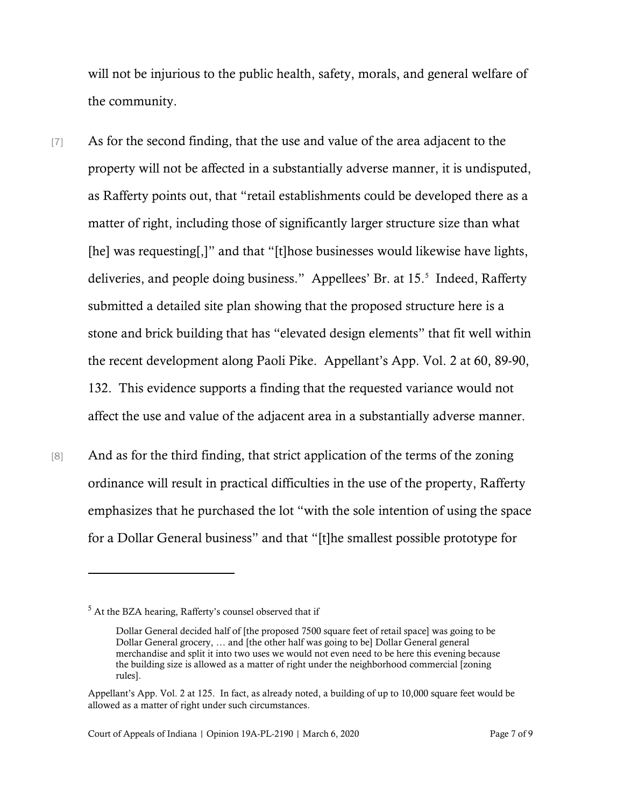will not be injurious to the public health, safety, morals, and general welfare of the community.

- [7] As for the second finding, that the use and value of the area adjacent to the property will not be affected in a substantially adverse manner, it is undisputed, as Rafferty points out, that "retail establishments could be developed there as a matter of right, including those of significantly larger structure size than what [he] was requesting[,]" and that "[t]hose businesses would likewise have lights, deliveries, and people doing business." Appellees' Br. at 15.[5](#page-6-0) Indeed, Rafferty submitted a detailed site plan showing that the proposed structure here is a stone and brick building that has "elevated design elements" that fit well within the recent development along Paoli Pike. Appellant's App. Vol. 2 at 60, 89-90, 132. This evidence supports a finding that the requested variance would not affect the use and value of the adjacent area in a substantially adverse manner.
- [8] And as for the third finding, that strict application of the terms of the zoning ordinance will result in practical difficulties in the use of the property, Rafferty emphasizes that he purchased the lot "with the sole intention of using the space for a Dollar General business" and that "[t]he smallest possible prototype for

<span id="page-6-0"></span><sup>5</sup> At the BZA hearing, Rafferty's counsel observed that if

Dollar General decided half of [the proposed 7500 square feet of retail space] was going to be Dollar General grocery, … and [the other half was going to be] Dollar General general merchandise and split it into two uses we would not even need to be here this evening because the building size is allowed as a matter of right under the neighborhood commercial [zoning rules].

Appellant's App. Vol. 2 at 125. In fact, as already noted, a building of up to 10,000 square feet would be allowed as a matter of right under such circumstances.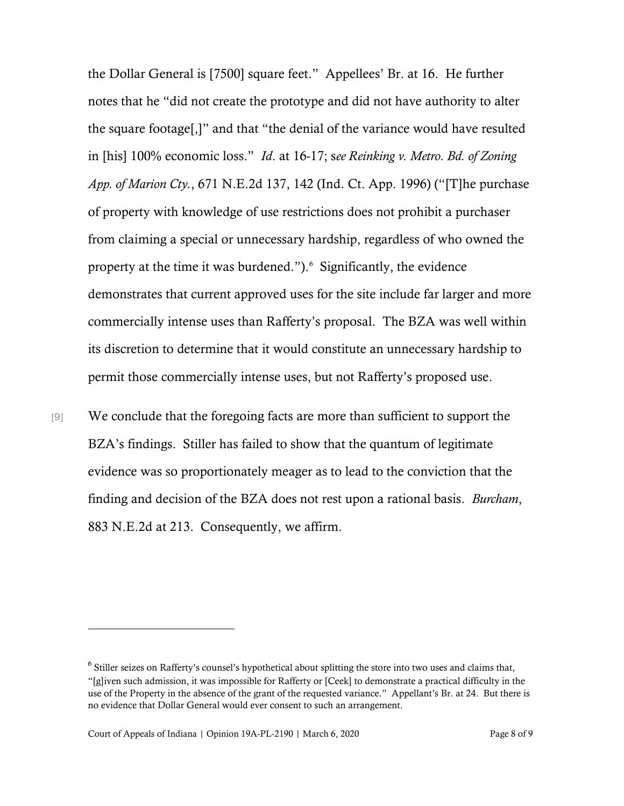the Dollar General is [7500] square feet." Appellees' Br. at 16. He further notes that he "did not create the prototype and did not have authority to alter the square footage[,]" and that "the denial of the variance would have resulted in [his] 100% economic loss." *Id*. at 16-17; s*ee Reinking v. Metro. Bd. of Zoning App. of Marion Cty.*, 671 N.E.2d 137, 142 (Ind. Ct. App. 1996) ("[T]he purchase of property with knowledge of use restrictions does not prohibit a purchaser from claiming a special or unnecessary hardship, regardless of who owned the property at the time it was burdened."). <sup>[6](#page-7-0)</sup> Significantly, the evidence demonstrates that current approved uses for the site include far larger and more commercially intense uses than Rafferty's proposal. The BZA was well within its discretion to determine that it would constitute an unnecessary hardship to permit those commercially intense uses, but not Rafferty's proposed use.

[9] We conclude that the foregoing facts are more than sufficient to support the BZA's findings. Stiller has failed to show that the quantum of legitimate evidence was so proportionately meager as to lead to the conviction that the finding and decision of the BZA does not rest upon a rational basis. *Burcham*, 883 N.E.2d at 213. Consequently, we affirm.

<span id="page-7-0"></span><sup>6</sup> Stiller seizes on Rafferty's counsel's hypothetical about splitting the store into two uses and claims that, "[g]iven such admission, it was impossible for Rafferty or [Ceek] to demonstrate a practical difficulty in the use of the Property in the absence of the grant of the requested variance." Appellant's Br. at 24. But there is no evidence that Dollar General would ever consent to such an arrangement.

Court of Appeals of Indiana | Opinion 19A-PL-2190 | March 6, 2020 Page 8 of 9